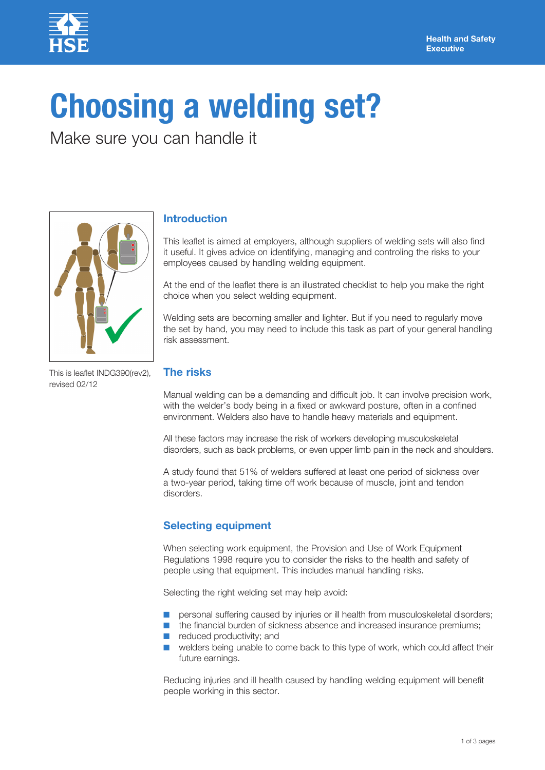

## **Choosing a welding set?**

Make sure you can handle it



This is leaflet INDG390(rev2), revised 02/12

### **Introduction**

This leaflet is aimed at employers, although suppliers of welding sets will also find it useful. It gives advice on identifying, managing and controling the risks to your employees caused by handling welding equipment.

At the end of the leaflet there is an illustrated checklist to help you make the right choice when you select welding equipment.

Welding sets are becoming smaller and lighter. But if you need to regularly move the set by hand, you may need to include this task as part of your general handling risk assessment.

#### **The risks**

Manual welding can be a demanding and difficult job. It can involve precision work, with the welder's body being in a fixed or awkward posture, often in a confined environment. Welders also have to handle heavy materials and equipment.

All these factors may increase the risk of workers developing musculoskeletal disorders, such as back problems, or even upper limb pain in the neck and shoulders.

A study found that 51% of welders suffered at least one period of sickness over a two-year period, taking time off work because of muscle, joint and tendon disorders.

### **Selecting equipment**

When selecting work equipment, the Provision and Use of Work Equipment Regulations 1998 require you to consider the risks to the health and safety of people using that equipment. This includes manual handling risks.

Selecting the right welding set may help avoid:

- personal suffering caused by injuries or ill health from musculoskeletal disorders;
- the financial burden of sickness absence and increased insurance premiums;
- reduced productivity; and
- welders being unable to come back to this type of work, which could affect their future earnings.

Reducing injuries and ill health caused by handling welding equipment will benefit people working in this sector.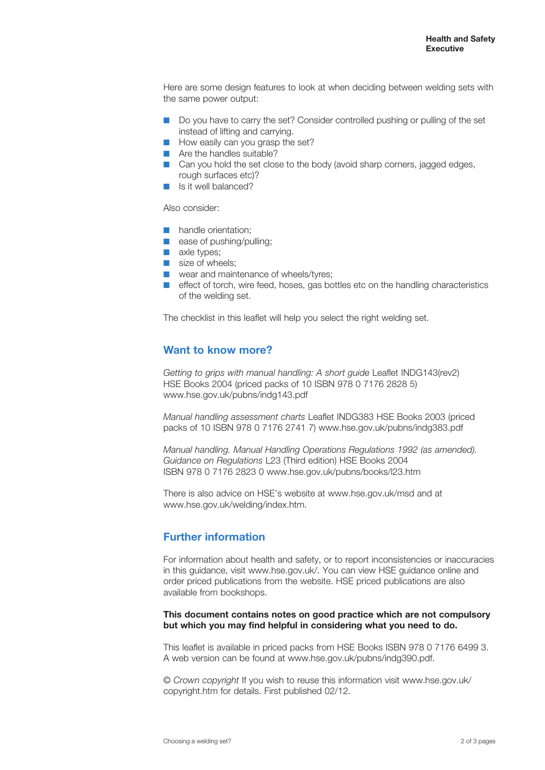Here are some design features to look at when deciding between welding sets with the same power output:

- Do you have to carry the set? Consider controlled pushing or pulling of the set instead of lifting and carrying.
- How easily can you grasp the set?
- Are the handles suitable?
- Can you hold the set close to the body (avoid sharp corners, jagged edges, rough surfaces etc)?
- Is it well balanced?

Also consider:

- handle orientation:
- ease of pushing/pulling:
- axle types:
- size of wheels:
- wear and maintenance of wheels/tyres:
- effect of torch, wire feed, hoses, gas bottles etc on the handling characteristics of the welding set.

The checklist in this leaflet will help you select the right welding set.

#### **Want to know more?**

*Getting to grips with manual handling: A short guide* Leaflet INDG143(rev2) HSE Books 2004 (priced packs of 10 ISBN 978 0 7176 2828 5) www.hse.gov.uk/pubns/indg143.pdf

*Manual handling assessment charts* Leaflet INDG383 HSE Books 2003 (priced packs of 10 ISBN 978 0 7176 2741 7) www.hse.gov.uk/pubns/indg383.pdf

*Manual handling. Manual Handling Operations Regulations 1992 (as amended). Guidance on Regulations* L23 (Third edition) HSE Books 2004 ISBN 978 0 7176 2823 0 www.hse.gov.uk/pubns/books/l23.htm

There is also advice on HSE's website at www.hse.gov.uk/msd and at www.hse.gov.uk/welding/index.htm.

#### **Further information**

For information about health and safety, or to report inconsistencies or inaccuracies in this guidance, visit www.hse.gov.uk/. You can view HSE guidance online and order priced publications from the website. HSE priced publications are also available from bookshops.

#### **This document contains notes on good practice which are not compulsory but which you may find helpful in considering what you need to do.**

This leaflet is available in priced packs from HSE Books ISBN 978 0 7176 6499 3. A web version can be found at www.hse.gov.uk/pubns/indg390.pdf.

*© Crown copyright* If you wish to reuse this information visit www.hse.gov.uk/ copyright.htm for details. First published 02/12.